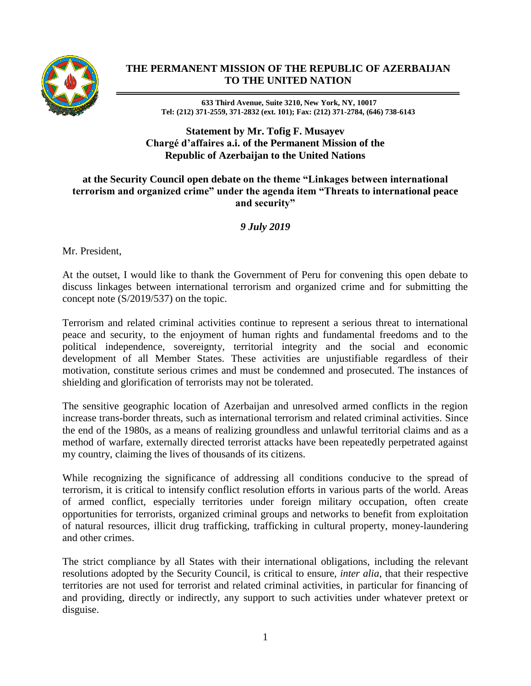

## **THE PERMANENT MISSION OF THE REPUBLIC OF AZERBAIJAN TO THE UNITED NATION**

**633 Third Avenue, Suite 3210, New York, NY, 10017 Tel: (212) 371-2559, 371-2832 (ext. 101); Fax: (212) 371-2784, (646) 738-6143**

**Statement by Mr. Tofig F. Musayev Chargé d'affaires a.i. of the Permanent Mission of the Republic of Azerbaijan to the United Nations**

## **at the Security Council open debate on the theme "Linkages between international terrorism and organized crime" under the agenda item "Threats to international peace and security"**

*9 July 2019*

Mr. President,

At the outset, I would like to thank the Government of Peru for convening this open debate to discuss linkages between international terrorism and organized crime and for submitting the concept note (S/2019/537) on the topic.

Terrorism and related criminal activities continue to represent a serious threat to international peace and security, to the enjoyment of human rights and fundamental freedoms and to the political independence, sovereignty, territorial integrity and the social and economic development of all Member States. These activities are unjustifiable regardless of their motivation, constitute serious crimes and must be condemned and prosecuted. The instances of shielding and glorification of terrorists may not be tolerated.

The sensitive geographic location of Azerbaijan and unresolved armed conflicts in the region increase trans-border threats, such as international terrorism and related criminal activities. Since the end of the 1980s, as a means of realizing groundless and unlawful territorial claims and as a method of warfare, externally directed terrorist attacks have been repeatedly perpetrated against my country, claiming the lives of thousands of its citizens.

While recognizing the significance of addressing all conditions conducive to the spread of terrorism, it is critical to intensify conflict resolution efforts in various parts of the world. Areas of armed conflict, especially territories under foreign military occupation, often create opportunities for terrorists, organized criminal groups and networks to benefit from exploitation of natural resources, illicit drug trafficking, trafficking in cultural property, money-laundering and other crimes.

The strict compliance by all States with their international obligations, including the relevant resolutions adopted by the Security Council, is critical to ensure, *inter alia*, that their respective territories are not used for terrorist and related criminal activities, in particular for financing of and providing, directly or indirectly, any support to such activities under whatever pretext or disguise.